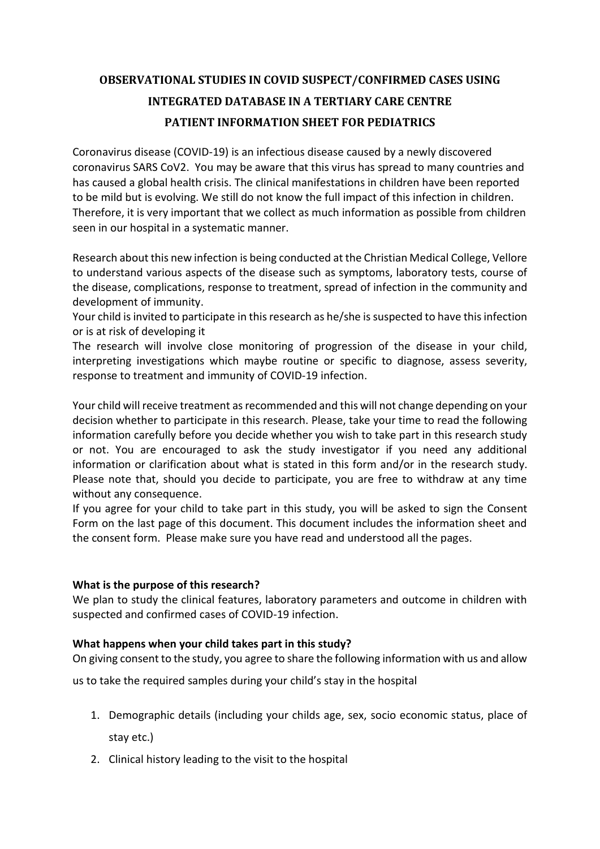# **OBSERVATIONAL STUDIES IN COVID SUSPECT/CONFIRMED CASES USING INTEGRATED DATABASE IN A TERTIARY CARE CENTRE PATIENT INFORMATION SHEET FOR PEDIATRICS**

Coronavirus disease (COVID-19) is an infectious disease caused by a newly discovered coronavirus SARS CoV2. You may be aware that this virus has spread to many countries and has caused a global health crisis. The clinical manifestations in children have been reported to be mild but is evolving. We still do not know the full impact of this infection in children. Therefore, it is very important that we collect as much information as possible from children seen in our hospital in a systematic manner.

Research about this new infection is being conducted at the Christian Medical College, Vellore to understand various aspects of the disease such as symptoms, laboratory tests, course of the disease, complications, response to treatment, spread of infection in the community and development of immunity.

Your child is invited to participate in this research as he/she is suspected to have this infection or is at risk of developing it

The research will involve close monitoring of progression of the disease in your child, interpreting investigations which maybe routine or specific to diagnose, assess severity, response to treatment and immunity of COVID-19 infection.

Your child will receive treatment as recommended and this will not change depending on your decision whether to participate in this research. Please, take your time to read the following information carefully before you decide whether you wish to take part in this research study or not. You are encouraged to ask the study investigator if you need any additional information or clarification about what is stated in this form and/or in the research study. Please note that, should you decide to participate, you are free to withdraw at any time without any consequence.

If you agree for your child to take part in this study, you will be asked to sign the Consent Form on the last page of this document. This document includes the information sheet and the consent form. Please make sure you have read and understood all the pages.

# **What is the purpose of this research?**

We plan to study the clinical features, laboratory parameters and outcome in children with suspected and confirmed cases of COVID-19 infection.

# **What happens when your child takes part in this study?**

On giving consent to the study, you agree to share the following information with us and allow

us to take the required samples during your child's stay in the hospital

- 1. Demographic details (including your childs age, sex, socio economic status, place of stay etc.)
- 2. Clinical history leading to the visit to the hospital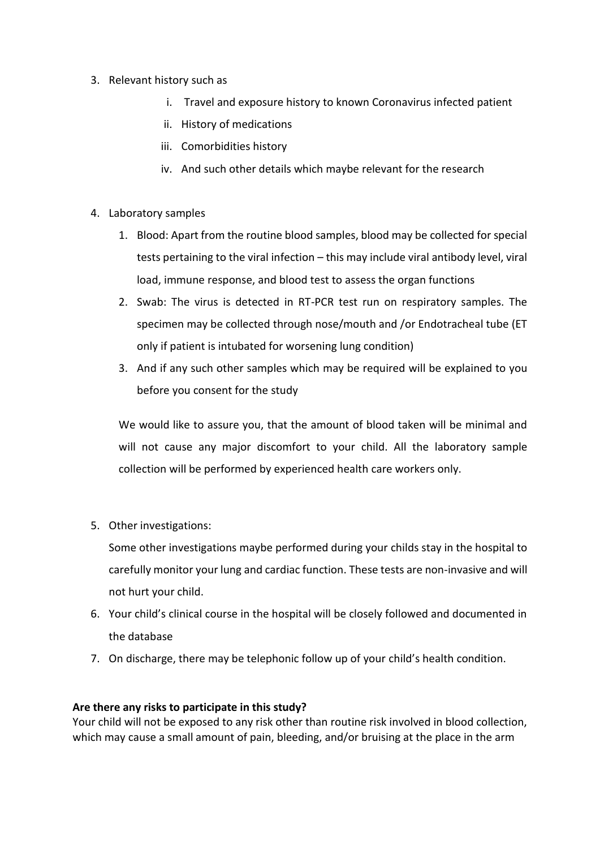- 3. Relevant history such as
	- i. Travel and exposure history to known Coronavirus infected patient
	- ii. History of medications
	- iii. Comorbidities history
	- iv. And such other details which maybe relevant for the research
- 4. Laboratory samples
	- 1. Blood: Apart from the routine blood samples, blood may be collected for special tests pertaining to the viral infection – this may include viral antibody level, viral load, immune response, and blood test to assess the organ functions
	- 2. Swab: The virus is detected in RT-PCR test run on respiratory samples. The specimen may be collected through nose/mouth and /or Endotracheal tube (ET only if patient is intubated for worsening lung condition)
	- 3. And if any such other samples which may be required will be explained to you before you consent for the study

We would like to assure you, that the amount of blood taken will be minimal and will not cause any major discomfort to your child. All the laboratory sample collection will be performed by experienced health care workers only.

5. Other investigations:

Some other investigations maybe performed during your childs stay in the hospital to carefully monitor your lung and cardiac function. These tests are non-invasive and will not hurt your child.

- 6. Your child's clinical course in the hospital will be closely followed and documented in the database
- 7. On discharge, there may be telephonic follow up of your child's health condition.

# **Are there any risks to participate in this study?**

Your child will not be exposed to any risk other than routine risk involved in blood collection, which may cause a small amount of pain, bleeding, and/or bruising at the place in the arm